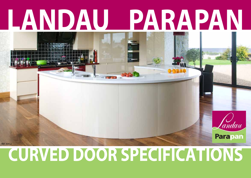# **LANDAU PARAPAN**

## **CURVED DOOR SPECIFICATIONS**

andau

Parapani

REF 30412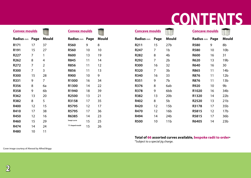### **CONTENTS**

| <b>Convex moulds</b> |                |                |                  | <b>Convex moulds</b> |              | <b>Concave moulds</b> |                |                 | <b>Concave moulds</b> |    |                 |  |
|----------------------|----------------|----------------|------------------|----------------------|--------------|-----------------------|----------------|-----------------|-----------------------|----|-----------------|--|
| Radius mm Page       |                | <b>Mould</b>   | Radius mm Page   |                      | <b>Mould</b> | Radius mm             | Page           | <b>Mould</b>    | Radius mm Page        |    | Mould           |  |
| R <sub>171</sub>     | 17             | 37             | <b>R560</b>      | 9                    | 8            | R211                  | 15             | 27 <sub>b</sub> | <b>R580</b>           | 9  | 8b              |  |
| R191                 | 15             | 27             | <b>R560</b>      | 10 <sup>°</sup>      | 10           | <b>R247</b>           | $\overline{7}$ | 1 <sub>b</sub>  | <b>R580</b>           | 10 | 10 <sub>b</sub> |  |
| <b>R227</b>          | 7              | 1              | <b>R600</b>      | 13                   | 19           | <b>R282</b>           | 8              | 4 <sub>b</sub>  | <b>R600</b>           | 16 | 31              |  |
| R262                 | 8              | 4              | <b>R845</b>      | 11                   | 14           | R292                  | $\overline{7}$ | 2 <sub>b</sub>  | <b>R620</b>           | 13 | 19 <sub>b</sub> |  |
| R272                 | $\overline{7}$ | $\overline{2}$ | <b>R856</b>      | 11                   | 12           | <b>R300</b>           | 16             | 32              | <b>R640</b>           | 16 | 30              |  |
| <b>R300</b>          | $\overline{7}$ | 3              | <b>R856</b>      | 11                   | 13           | <b>R320</b>           | $\overline{7}$ | 3 <sub>b</sub>  | <b>R865</b>           | 11 | 14 <sub>b</sub> |  |
| <b>R300</b>          | 15             | 28             | <b>R900</b>      | 10                   | 9            | <b>R340</b>           | 16             | 33              | <b>R876</b>           | 11 | 12 <sub>b</sub> |  |
| R331                 | 9              | 7              | R1000            | 16                   | 34           | <b>R351</b>           | 9              | 7b              | <b>R876</b>           | 11 | 13 <sub>b</sub> |  |
| <b>R356</b>          | 8              | 6a             | R1300            | 14                   | 22           | <b>R376</b>           | 8              | 6ab             | <b>R920</b>           | 10 | 9 <sub>b</sub>  |  |
| <b>R358</b>          | 9              | 6 <sub>b</sub> | R1940            | 18                   | 39           | <b>R378</b>           | 9              | 6bb             | R1020                 | 16 | 34b             |  |
| R362                 | 13             | 20             | R2500            | 13                   | 21           | <b>R382</b>           | 13             | 20 <sub>b</sub> | R1320                 | 14 | 22 <sub>b</sub> |  |
| <b>R382</b>          | 8              | 5              | R3158            | 17                   | 35           | R402                  | 8              | 5 <sub>b</sub>  | R2520                 | 13 | 21 <sub>b</sub> |  |
| <b>R400</b>          | 12             | 15             | R5795            | $12 \overline{ }$    | 17           | <b>R420</b>           | 12             | 15 <sub>b</sub> | R3178                 | 17 | 35 <sub>b</sub> |  |
| R410                 | 17             | 38             | R5795            | 17                   | 36           | <b>R470</b>           | 12             | 16 <sub>b</sub> | R5815                 | 12 | 17 <sub>b</sub> |  |
| <b>R450</b>          | 12             | 16             | R6385            | 14                   | 23           | <b>R494</b>           | 14             | 24 <sub>b</sub> | R5815                 | 17 | 36 <sub>b</sub> |  |
| <b>R460</b>          | 15             | 29             | Swept curve      | 15                   | 25           | <b>R500</b>           | 10             | 11 <sub>b</sub> | R6405                 | 14 | 23 <sub>b</sub> |  |
| R474                 | 14             | 24             | "S" shaped mould | 15                   | 26           |                       |                |                 |                       |    |                 |  |
| <b>R480</b>          | 10             | 11             |                  |                      |              |                       |                |                 |                       |    |                 |  |

### **Total of 66 assorted curves available, bespoke radii to order\*** \*Subject to a special jig charge.

Cover image courtesy of Alwood by Alfred Briggs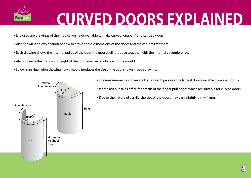

# **CURVED DOORS EXPLAINED**

- Enclosed are drawings of the moulds we have available to make curved Parapan® and Landau doors.
- Also shown is an explanation of how to arrive at the dimensions of the doors and the cabinets for them.
- Each drawing shows the internal radius of the door the mould will produce together with the internal circumference.
- Also shown is the maximum height of the door you can produce with the mould.
- **•** Below is an illustration showing how a mould produces the size of the door shown in each drawing.



- The measurements shown are those which produce the largest door available from each mould.
- Please ask our sales office for details of the finger pull edges which are suitable for curved doors.
- $\bullet$  Due to the nature of acrylic, the size of the doors may vary slightly by  $+/$ -1mm.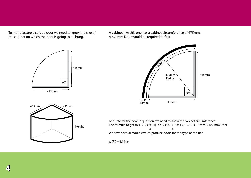To manufacture a curved door we need to know the size of the cabinet on which the door is going to be hung.

A cabinet like this one has a cabinet circumference of 675mm. A 672mm Door would be required to fit it.





To quote for the door in question, we need to know the cabinet circumference. The formula to get this is:  $2 \times \pi \times R$  or  $2 \times 3.1416 \times 435 = 683 - 3$ mm = 680mm Door 4 4 We have several moulds which produce doors for this type of cabinet.

 $\pi$  (Pi) = 3.1416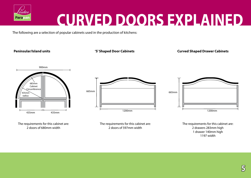

### **CURVED DOORS EXPLAINED**

The following are a selection of popular cabinets used in the production of kitchens:

**Peninsular/Island units 'S' Shaped Door Cabinets Curved Shaped Drawer Cabinets**



The requirements for this cabinet are: 2 doors of 680mm width



The requirements for this cabinet are: 2 doors of 597mm width



The requirements for this cabinet are: 2 drawers 283mm high 1 drawer 140mm high 1197 width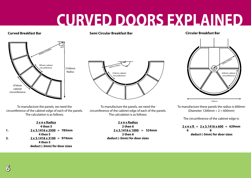### **CURVED DOORS EXPLAINED**

### **Curved Breakfast Bar Semi Circular Breakfast Bar Circular Breakfast Bar**



To manufacture the panels, we need the circumference of the cabinet edge of each of the panels. The calculation is as follows:

|    | $2 \times \pi \times$ Radius           |
|----|----------------------------------------|
|    | 4 then 5                               |
| 1. | $2 \times 3.1416 \times 2500 = 785$ mm |
|    | 4 then 5                               |
| 2. | $2 \times 3.1416 \times 3100 = 974$ mm |
|    | 4 then 5                               |
|    | deduct (-3mm) for door sizes           |



To manufacture the panels, we need the circumference of the cabinet edge of each of the panels. The calculation is as follows:

> **2 x π x Radius 2 then 6**  $2 \times 3.1416 \times 1000 = 524$ mm **2 then 6 deduct (-3mm) for door sizes**



To manufacture these panels the radius is 600mm (Diameter 1200mm  $\div$  2 = 600mm)

The circumference of the cabinet edge is:

 $2 \times \pi \times R = 2 \times 3.1416 \times 600 = 629$ mm  **6 6 deduct (-3mm) for door sizes**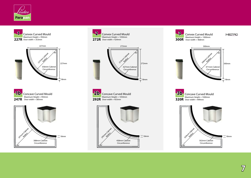



















METRO





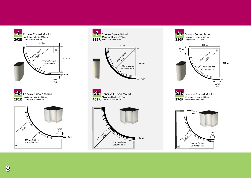



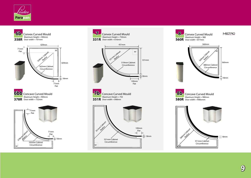





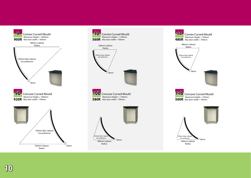



18mm

580mm Cabinet Radius

,<br>700mm Max Cabir Circumference

**10** Convex Curved Mould



 **10**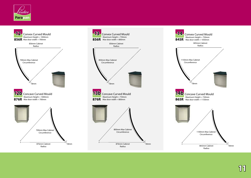





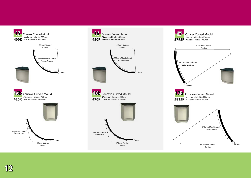



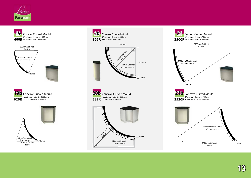





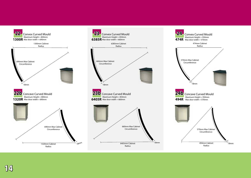

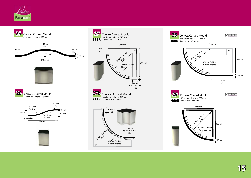





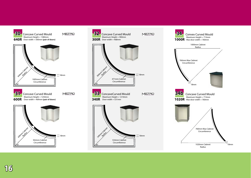

![](_page_15_Picture_1.jpeg)

![](_page_15_Picture_2.jpeg)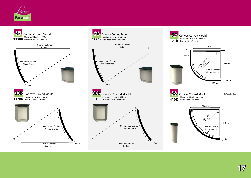![](_page_16_Picture_0.jpeg)

![](_page_16_Figure_1.jpeg)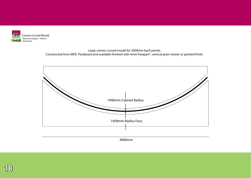![](_page_17_Picture_0.jpeg)

Large convex curved mould for 3000mm back panels. Constructed from MDF, Flexiboard and available finished with 4mm Parapan®, vertical grain veneer or painted finish.

![](_page_17_Figure_2.jpeg)

![](_page_17_Picture_3.jpeg)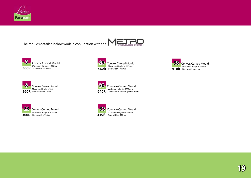![](_page_18_Picture_0.jpeg)

The moulds detailed below work in conjunction with the  $\|\cdot\|$ 

![](_page_18_Picture_2.jpeg)

![](_page_18_Picture_3.jpeg)

![](_page_18_Picture_4.jpeg)

![](_page_18_Picture_5.jpeg)

![](_page_18_Picture_6.jpeg)

![](_page_18_Picture_7.jpeg)

![](_page_18_Picture_8.jpeg)

![](_page_18_Picture_9.jpeg)

**33** Concave Curved Mould Maximum Height = 1210mm  $340R$  Door width =  $531mm$ 

$$
\eta\mathfrak{g}
$$